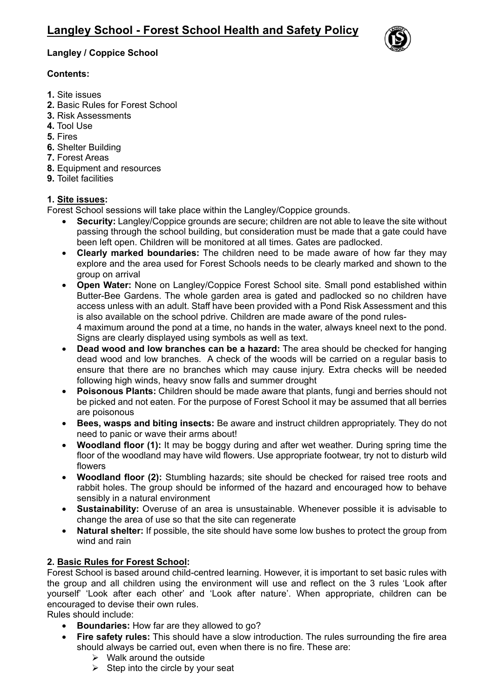

# **Langley / Coppice School**

# **Contents:**

- **1.** Site issues
- **2.** Basic Rules for Forest School
- **3.** Risk Assessments
- **4.** Tool Use
- **5.** Fires
- **6.** Shelter Building
- **7.** Forest Areas
- **8.** Equipment and resources
- **9.** Toilet facilities

# **1. Site issues:**

Forest School sessions will take place within the Langley/Coppice grounds.

- **Security:** Langley/Coppice grounds are secure; children are not able to leave the site without passing through the school building, but consideration must be made that a gate could have been left open. Children will be monitored at all times. Gates are padlocked.
- **Clearly marked boundaries:** The children need to be made aware of how far they may explore and the area used for Forest Schools needs to be clearly marked and shown to the group on arrival
- **Open Water:** None on Langley/Coppice Forest School site. Small pond established within Butter-Bee Gardens. The whole garden area is gated and padlocked so no children have access unless with an adult. Staff have been provided with a Pond Risk Assessment and this is also available on the school pdrive. Children are made aware of the pond rules-

4 maximum around the pond at a time, no hands in the water, always kneel next to the pond. Signs are clearly displayed using symbols as well as text.

- **Dead wood and low branches can be a hazard:** The area should be checked for hanging dead wood and low branches. A check of the woods will be carried on a regular basis to ensure that there are no branches which may cause injury. Extra checks will be needed following high winds, heavy snow falls and summer drought
- **Poisonous Plants:** Children should be made aware that plants, fungi and berries should not be picked and not eaten. For the purpose of Forest School it may be assumed that all berries are poisonous
- **Bees, wasps and biting insects:** Be aware and instruct children appropriately. They do not need to panic or wave their arms about!
- **Woodland floor (1):** It may be boggy during and after wet weather. During spring time the floor of the woodland may have wild flowers. Use appropriate footwear, try not to disturb wild flowers
- **Woodland floor (2):** Stumbling hazards; site should be checked for raised tree roots and rabbit holes. The group should be informed of the hazard and encouraged how to behave sensibly in a natural environment
- **Sustainability:** Overuse of an area is unsustainable. Whenever possible it is advisable to change the area of use so that the site can regenerate
- **Natural shelter:** If possible, the site should have some low bushes to protect the group from wind and rain

# **2. Basic Rules for Forest School:**

Forest School is based around child-centred learning. However, it is important to set basic rules with the group and all children using the environment will use and reflect on the 3 rules 'Look after yourself' 'Look after each other' and 'Look after nature'. When appropriate, children can be encouraged to devise their own rules.

Rules should include:

- **Boundaries:** How far are they allowed to go?
- **Fire safety rules:** This should have a slow introduction. The rules surrounding the fire area should always be carried out, even when there is no fire. These are:
	- $\triangleright$  Walk around the outside
	- $\triangleright$  Step into the circle by your seat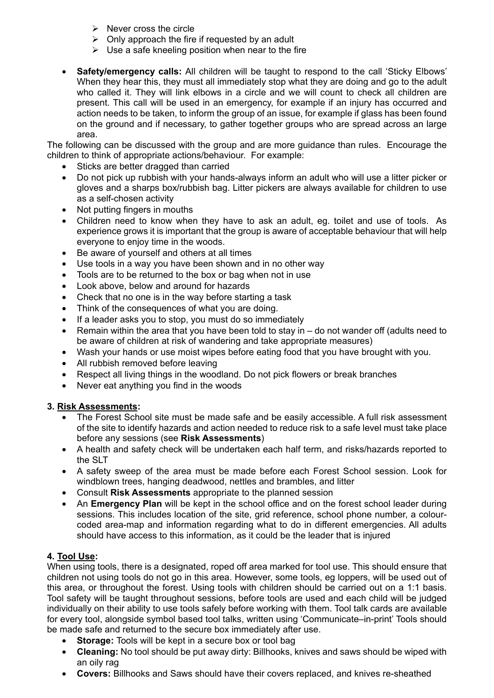- $\triangleright$  Never cross the circle
- $\triangleright$  Only approach the fire if requested by an adult
- $\triangleright$  Use a safe kneeling position when near to the fire
- **Safety/emergency calls:** All children will be taught to respond to the call 'Sticky Elbows' When they hear this, they must all immediately stop what they are doing and go to the adult who called it. They will link elbows in a circle and we will count to check all children are present. This call will be used in an emergency, for example if an injury has occurred and action needs to be taken, to inform the group of an issue, for example if glass has been found on the ground and if necessary, to gather together groups who are spread across an large area.

The following can be discussed with the group and are more guidance than rules. Encourage the children to think of appropriate actions/behaviour. For example:

- Sticks are better dragged than carried
- Do not pick up rubbish with your hands-always inform an adult who will use a litter picker or gloves and a sharps box/rubbish bag. Litter pickers are always available for children to use as a self-chosen activity
- Not putting fingers in mouths
- Children need to know when they have to ask an adult, eg. toilet and use of tools. As experience grows it is important that the group is aware of acceptable behaviour that will help everyone to enjoy time in the woods.
- Be aware of yourself and others at all times
- Use tools in a way you have been shown and in no other way
- Tools are to be returned to the box or bag when not in use
- Look above, below and around for hazards
- Check that no one is in the way before starting a task
- Think of the consequences of what you are doing.
- If a leader asks you to stop, you must do so immediately
- Remain within the area that you have been told to stay in do not wander off (adults need to be aware of children at risk of wandering and take appropriate measures)
- Wash your hands or use moist wipes before eating food that you have brought with you.
- All rubbish removed before leaving
- Respect all living things in the woodland. Do not pick flowers or break branches
- Never eat anything you find in the woods

# **3. Risk Assessments:**

- The Forest School site must be made safe and be easily accessible. A full risk assessment of the site to identify hazards and action needed to reduce risk to a safe level must take place before any sessions (see **Risk Assessments**)
- A health and safety check will be undertaken each half term, and risks/hazards reported to the SLT
- A safety sweep of the area must be made before each Forest School session. Look for windblown trees, hanging deadwood, nettles and brambles, and litter
- Consult **Risk Assessments** appropriate to the planned session
- An **Emergency Plan** will be kept in the school office and on the forest school leader during sessions. This includes location of the site, grid reference, school phone number, a colourcoded area-map and information regarding what to do in different emergencies. All adults should have access to this information, as it could be the leader that is injured

# **4. Tool Use:**

When using tools, there is a designated, roped off area marked for tool use. This should ensure that children not using tools do not go in this area. However, some tools, eg loppers, will be used out of this area, or throughout the forest. Using tools with children should be carried out on a 1:1 basis. Tool safety will be taught throughout sessions, before tools are used and each child will be judged individually on their ability to use tools safely before working with them. Tool talk cards are available for every tool, alongside symbol based tool talks, written using 'Communicate–in-print' Tools should be made safe and returned to the secure box immediately after use.

- **Storage:** Tools will be kept in a secure box or tool bag
- **Cleaning:** No tool should be put away dirty: Billhooks, knives and saws should be wiped with an oily rag
- **Covers:** Billhooks and Saws should have their covers replaced, and knives re-sheathed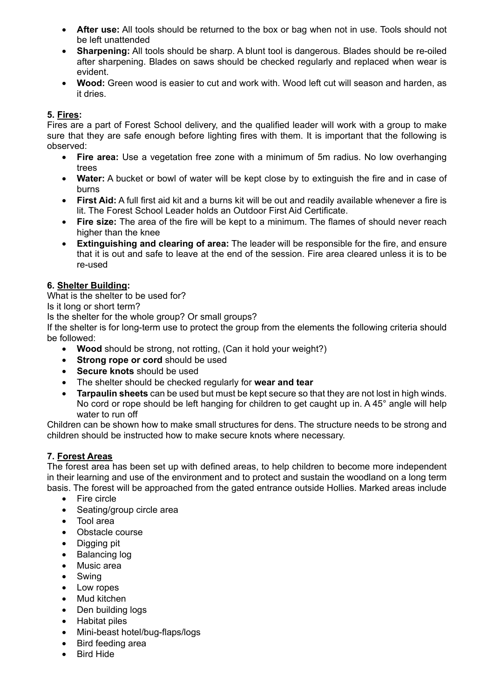- **After use:** All tools should be returned to the box or bag when not in use. Tools should not be left unattended
- **Sharpening:** All tools should be sharp. A blunt tool is dangerous. Blades should be re-oiled after sharpening. Blades on saws should be checked regularly and replaced when wear is evident.
- **Wood:** Green wood is easier to cut and work with. Wood left cut will season and harden, as it dries.

#### **5. Fires:**

Fires are a part of Forest School delivery, and the qualified leader will work with a group to make sure that they are safe enough before lighting fires with them. It is important that the following is observed:

- **Fire area:** Use a vegetation free zone with a minimum of 5m radius. No low overhanging trees
- **Water:** A bucket or bowl of water will be kept close by to extinguish the fire and in case of burns
- **First Aid:** A full first aid kit and a burns kit will be out and readily available whenever a fire is lit. The Forest School Leader holds an Outdoor First Aid Certificate.
- **Fire size:** The area of the fire will be kept to a minimum. The flames of should never reach higher than the knee
- **Extinguishing and clearing of area:** The leader will be responsible for the fire, and ensure that it is out and safe to leave at the end of the session. Fire area cleared unless it is to be re-used

#### **6. Shelter Building:**

What is the shelter to be used for?

Is it long or short term?

Is the shelter for the whole group? Or small groups?

If the shelter is for long-term use to protect the group from the elements the following criteria should be followed:

- **Wood** should be strong, not rotting, (Can it hold your weight?)
- **Strong rope or cord** should be used
- **Secure knots** should be used
- The shelter should be checked regularly for **wear and tear**
- **Tarpaulin sheets** can be used but must be kept secure so that they are not lost in high winds. No cord or rope should be left hanging for children to get caught up in. A 45° angle will help water to run off

Children can be shown how to make small structures for dens. The structure needs to be strong and children should be instructed how to make secure knots where necessary.

#### **7. Forest Areas**

The forest area has been set up with defined areas, to help children to become more independent in their learning and use of the environment and to protect and sustain the woodland on a long term basis. The forest will be approached from the gated entrance outside Hollies. Marked areas include

- Fire circle
- Seating/group circle area
- Tool area
- Obstacle course
- Digging pit
- Balancing log
- Music area
- Swing
- Low ropes
- Mud kitchen
- Den building logs
- Habitat piles
- Mini-beast hotel/bug-flaps/logs
- Bird feeding area
- Bird Hide